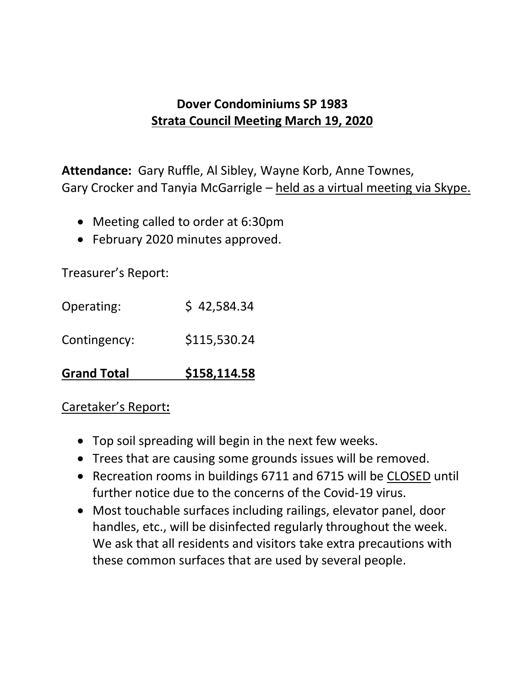## **Dover Condominiums SP 1983 Strata Council Meeting March 19, 2020**

**Attendance:** Gary Ruffle, Al Sibley, Wayne Korb, Anne Townes, Gary Crocker and Tanyia McGarrigle – held as a virtual meeting via Skype.

- Meeting called to order at 6:30pm
- February 2020 minutes approved.

Treasurer's Report:

| <b>Grand Total</b> | \$158,114.58 |
|--------------------|--------------|
| Contingency:       | \$115,530.24 |
| Operating:         | \$42,584.34  |

## Caretaker's Report**:**

- Top soil spreading will begin in the next few weeks.
- Trees that are causing some grounds issues will be removed.
- Recreation rooms in buildings 6711 and 6715 will be CLOSED until further notice due to the concerns of the Covid-19 virus.
- Most touchable surfaces including railings, elevator panel, door handles, etc., will be disinfected regularly throughout the week. We ask that all residents and visitors take extra precautions with these common surfaces that are used by several people.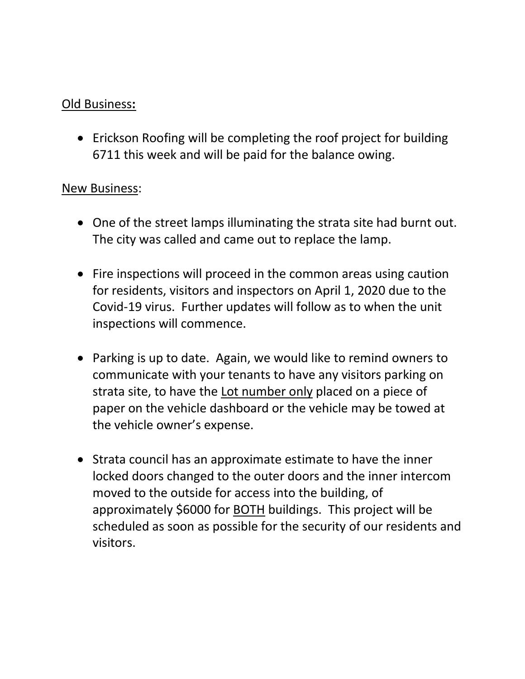## Old Business**:**

• Erickson Roofing will be completing the roof project for building 6711 this week and will be paid for the balance owing.

## New Business:

- One of the street lamps illuminating the strata site had burnt out. The city was called and came out to replace the lamp.
- Fire inspections will proceed in the common areas using caution for residents, visitors and inspectors on April 1, 2020 due to the Covid-19 virus. Further updates will follow as to when the unit inspections will commence.
- Parking is up to date. Again, we would like to remind owners to communicate with your tenants to have any visitors parking on strata site, to have the Lot number only placed on a piece of paper on the vehicle dashboard or the vehicle may be towed at the vehicle owner's expense.
- Strata council has an approximate estimate to have the inner locked doors changed to the outer doors and the inner intercom moved to the outside for access into the building, of approximately \$6000 for BOTH buildings. This project will be scheduled as soon as possible for the security of our residents and visitors.